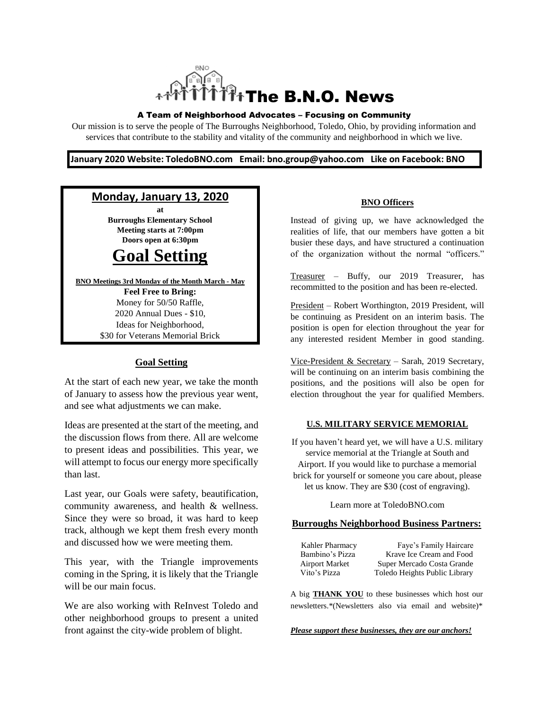

#### A Team of Neighborhood Advocates – Focusing on Community

Our mission is to serve the people of The Burroughs Neighborhood, Toledo, Ohio, by providing information and services that contribute to the stability and vitality of the community and neighborhood in which we live.

#### **January 2020 Website: ToledoBNO.com Email: bno.group@yahoo.com Like on Facebook: BNO**

### **Monday, January 13, 2020**

**at Burroughs Elementary School Meeting starts at 7:00pm Doors open at 6:30pm**

# **Goal Setting**

**BNO Meetings 3rd Monday of the Month March - May Feel Free to Bring:**  Money for 50/50 Raffle, 2020 Annual Dues - \$10, Ideas for Neighborhood, \$30 for Veterans Memorial Brick

#### **Goal Setting**

At the start of each new year, we take the month of January to assess how the previous year went, and see what adjustments we can make.

Ideas are presented at the start of the meeting, and the discussion flows from there. All are welcome to present ideas and possibilities. This year, we will attempt to focus our energy more specifically than last.

Last year, our Goals were safety, beautification, community awareness, and health & wellness. Since they were so broad, it was hard to keep track, although we kept them fresh every month and discussed how we were meeting them.

This year, with the Triangle improvements coming in the Spring, it is likely that the Triangle will be our main focus.

We are also working with ReInvest Toledo and other neighborhood groups to present a united front against the city-wide problem of blight.

#### **BNO Officers**

Instead of giving up, we have acknowledged the realities of life, that our members have gotten a bit busier these days, and have structured a continuation of the organization without the normal "officers."

Treasurer – Buffy, our 2019 Treasurer, has recommitted to the position and has been re-elected.

President – Robert Worthington, 2019 President, will be continuing as President on an interim basis. The position is open for election throughout the year for any interested resident Member in good standing.

Vice-President & Secretary – Sarah, 2019 Secretary, will be continuing on an interim basis combining the positions, and the positions will also be open for election throughout the year for qualified Members.

#### **U.S. MILITARY SERVICE MEMORIAL**

If you haven't heard yet, we will have a U.S. military service memorial at the Triangle at South and Airport. If you would like to purchase a memorial brick for yourself or someone you care about, please let us know. They are \$30 (cost of engraving).

Learn more at ToledoBNO.com

#### **Burroughs Neighborhood Business Partners:**

| Kahler Pharmacy       | Faye's Family Haircare        |
|-----------------------|-------------------------------|
| Bambino's Pizza       | Krave Ice Cream and Food      |
| <b>Airport Market</b> | Super Mercado Costa Grande    |
| Vito's Pizza          | Toledo Heights Public Library |

A big **THANK YOU** to these businesses which host our newsletters.\*(Newsletters also via email and website)\*

*Please support these businesses, they are our anchors!*